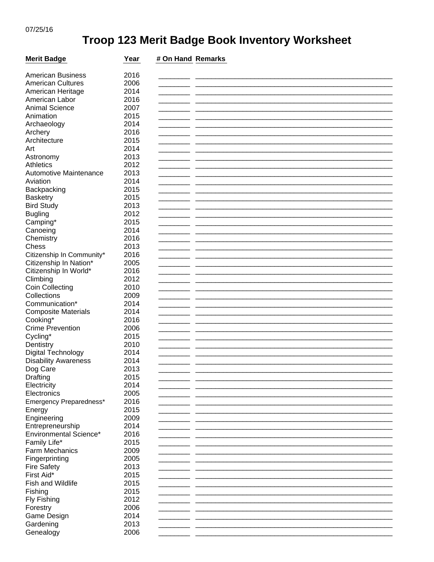## Troop 123 Merit Badge Book Inventory Worksheet

| <b>Merit Badge</b>            | Year | # On Hand Remarks |  |
|-------------------------------|------|-------------------|--|
|                               |      |                   |  |
| <b>American Business</b>      | 2016 |                   |  |
| <b>American Cultures</b>      | 2006 |                   |  |
| American Heritage             | 2014 |                   |  |
| American Labor                | 2016 |                   |  |
| <b>Animal Science</b>         | 2007 |                   |  |
| Animation                     | 2015 |                   |  |
| Archaeology                   | 2014 |                   |  |
| Archery                       | 2016 |                   |  |
| Architecture                  | 2015 |                   |  |
| Art                           | 2014 |                   |  |
| Astronomy                     | 2013 |                   |  |
| Athletics                     | 2012 |                   |  |
| Automotive Maintenance        | 2013 |                   |  |
| Aviation                      | 2014 |                   |  |
| Backpacking                   | 2015 |                   |  |
| <b>Basketry</b>               | 2015 |                   |  |
| <b>Bird Study</b>             | 2013 |                   |  |
| <b>Bugling</b>                | 2012 |                   |  |
| Camping*                      | 2015 |                   |  |
| Canoeing                      | 2014 |                   |  |
| Chemistry                     | 2016 |                   |  |
| Chess                         | 2013 |                   |  |
| Citizenship In Community*     | 2016 |                   |  |
| Citizenship In Nation*        | 2005 |                   |  |
| Citizenship In World*         | 2016 |                   |  |
| Climbing                      | 2012 |                   |  |
| <b>Coin Collecting</b>        | 2010 |                   |  |
| Collections                   | 2009 |                   |  |
| Communication*                | 2014 |                   |  |
| <b>Composite Materials</b>    | 2014 |                   |  |
| Cooking*                      | 2016 |                   |  |
| <b>Crime Prevention</b>       | 2006 |                   |  |
| Cycling*                      | 2015 |                   |  |
| Dentistry                     | 2010 |                   |  |
| Digital Technology            | 2014 |                   |  |
| <b>Disability Awareness</b>   | 2014 |                   |  |
| Dog Care                      | 2013 |                   |  |
| Drafting                      | 2015 |                   |  |
| Electricity                   | 2014 |                   |  |
| Electronics                   | 2005 |                   |  |
| Emergency Preparedness*       | 2016 |                   |  |
| Energy                        | 2015 |                   |  |
| Engineering                   | 2009 |                   |  |
| Entrepreneurship              | 2014 |                   |  |
| <b>Environmental Science*</b> | 2016 |                   |  |
| Family Life*                  | 2015 |                   |  |
| Farm Mechanics                | 2009 |                   |  |
| Fingerprinting                | 2005 |                   |  |
| <b>Fire Safety</b>            | 2013 |                   |  |
| First Aid*                    | 2015 |                   |  |
| Fish and Wildlife             | 2015 |                   |  |
| Fishing                       | 2015 |                   |  |
| Fly Fishing                   | 2012 |                   |  |
| Forestry                      | 2006 |                   |  |
| Game Design                   | 2014 |                   |  |
| Gardening                     | 2013 |                   |  |
| Genealogy                     | 2006 |                   |  |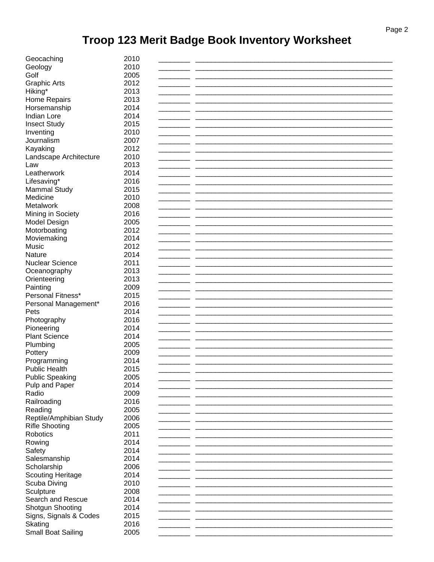## Troop 123 Merit Badge Book Inventory Worksheet

| Geocaching               | 2010 |  |
|--------------------------|------|--|
| Geology                  | 2010 |  |
| Golf                     | 2005 |  |
| <b>Graphic Arts</b>      | 2012 |  |
| Hiking*                  | 2013 |  |
|                          | 2013 |  |
| Home Repairs             |      |  |
| Horsemanship             | 2014 |  |
| Indian Lore              | 2014 |  |
| <b>Insect Study</b>      | 2015 |  |
| Inventing                | 2010 |  |
| Journalism               | 2007 |  |
| Kayaking                 | 2012 |  |
| Landscape Architecture   | 2010 |  |
| Law                      | 2013 |  |
| Leatherwork              | 2014 |  |
| Lifesaving*              | 2016 |  |
| <b>Mammal Study</b>      | 2015 |  |
| Medicine                 | 2010 |  |
| Metalwork                | 2008 |  |
| Mining in Society        | 2016 |  |
| Model Design             | 2005 |  |
| Motorboating             | 2012 |  |
| Moviemaking              | 2014 |  |
| Music                    | 2012 |  |
| Nature                   | 2014 |  |
| <b>Nuclear Science</b>   | 2011 |  |
|                          | 2013 |  |
| Oceanography             | 2013 |  |
| Orienteering             |      |  |
| Painting                 | 2009 |  |
| Personal Fitness*        | 2015 |  |
| Personal Management*     | 2016 |  |
| Pets                     | 2014 |  |
| Photography              | 2016 |  |
| Pioneering               | 2014 |  |
| <b>Plant Science</b>     | 2014 |  |
| Plumbing                 | 2005 |  |
| Pottery                  | 2009 |  |
| Programming              | 2014 |  |
| Public Health            | 2015 |  |
| <b>Public Speaking</b>   | 2005 |  |
| Pulp and Paper           | 2014 |  |
| Radio                    | 2009 |  |
| Railroading              | 2016 |  |
| Reading                  | 2005 |  |
| Reptile/Amphibian Study  | 2006 |  |
| <b>Rifle Shooting</b>    | 2005 |  |
| Robotics                 | 2011 |  |
| Rowing                   | 2014 |  |
| Safety                   | 2014 |  |
| Salesmanship             | 2014 |  |
| Scholarship              | 2006 |  |
| <b>Scouting Heritage</b> | 2014 |  |
|                          | 2010 |  |
| Scuba Diving             |      |  |
| Sculpture                | 2008 |  |
| Search and Rescue        | 2014 |  |
| Shotgun Shooting         | 2014 |  |
| Signs, Signals & Codes   | 2015 |  |
| Skating                  | 2016 |  |
| Small Boat Sailing       | 2005 |  |